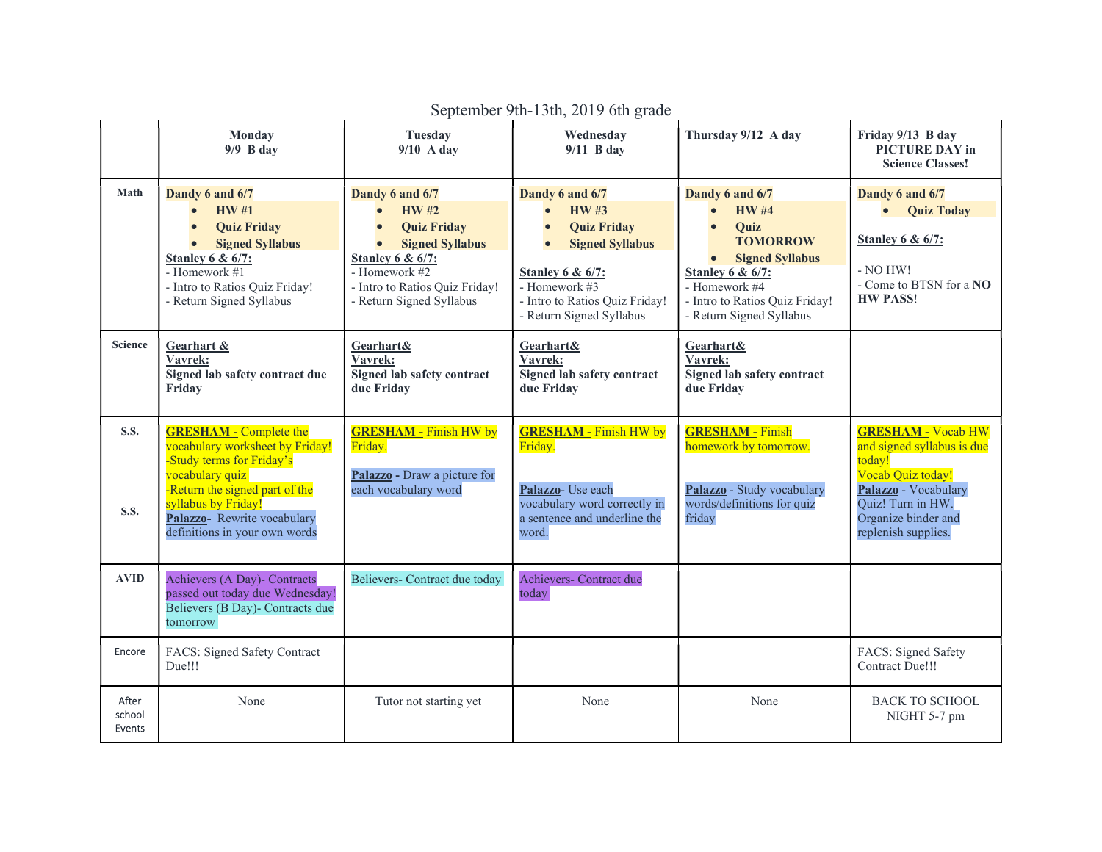|                            | Monday<br>$9/9$ B day                                                                                                                                                                                                                    | Tuesday<br>$9/10$ A day                                                                                                                                                                                                | Wednesday<br>$9/11$ B day                                                                                                                                                                                   | Thursday 9/12 A day                                                                                                                                                                                                   | Friday 9/13 B day<br>PICTURE DAY in<br><b>Science Classes!</b>                                                                                                                    |
|----------------------------|------------------------------------------------------------------------------------------------------------------------------------------------------------------------------------------------------------------------------------------|------------------------------------------------------------------------------------------------------------------------------------------------------------------------------------------------------------------------|-------------------------------------------------------------------------------------------------------------------------------------------------------------------------------------------------------------|-----------------------------------------------------------------------------------------------------------------------------------------------------------------------------------------------------------------------|-----------------------------------------------------------------------------------------------------------------------------------------------------------------------------------|
| Math                       | Dandy 6 and 6/7<br><b>HW#1</b><br>$\bullet$<br><b>Quiz Friday</b><br><b>Signed Syllabus</b><br>$\bullet$<br><b>Stanley 6 &amp; 6/7:</b><br>- Homework #1<br>- Intro to Ratios Quiz Friday!<br>- Return Signed Syllabus                   | Dandy 6 and 6/7<br><b>HW#2</b><br>$\bullet$<br><b>Quiz Friday</b><br><b>Signed Syllabus</b><br>$\bullet$<br><b>Stanley 6 &amp; 6/7:</b><br>- Homework #2<br>- Intro to Ratios Quiz Friday!<br>- Return Signed Syllabus | Dandy 6 and 6/7<br><b>HW#3</b><br><b>Quiz Friday</b><br><b>Signed Syllabus</b><br>$\bullet$<br><b>Stanley 6 &amp; 6/7:</b><br>- Homework $#3$<br>- Intro to Ratios Quiz Friday!<br>- Return Signed Syllabus | Dandy 6 and 6/7<br><b>HW#4</b><br><b>Quiz</b><br><b>TOMORROW</b><br><b>Signed Syllabus</b><br>$\bullet$<br><b>Stanley 6 &amp; 6/7:</b><br>- Homework #4<br>- Intro to Ratios Quiz Friday!<br>- Return Signed Syllabus | Dandy 6 and 6/7<br>• Quiz Today<br><b>Stanley 6 &amp; 6/7:</b><br>- NO HW!<br>- Come to BTSN for a NO<br><b>HW PASS!</b>                                                          |
| <b>Science</b>             | Gearhart &<br>Vavrek:<br>Signed lab safety contract due<br>Friday                                                                                                                                                                        | <b>Gearhart&amp;</b><br>Vavrek:<br>Signed lab safety contract<br>due Friday                                                                                                                                            | Gearhart&<br>Vavrek:<br>Signed lab safety contract<br>due Friday                                                                                                                                            | Gearhart&<br>Vavrek:<br>Signed lab safety contract<br>due Friday                                                                                                                                                      |                                                                                                                                                                                   |
| <b>S.S.</b><br><b>S.S.</b> | <b>GRESHAM - Complete the</b><br>vocabulary worksheet by Friday!<br>-Study terms for Friday's<br>vocabulary quiz<br>-Return the signed part of the<br>syllabus by Friday!<br>Palazzo-Rewrite vocabulary<br>definitions in your own words | <b>GRESHAM - Finish HW by</b><br>Friday.<br>Palazzo - Draw a picture for<br>each vocabulary word                                                                                                                       | <b>GRESHAM - Finish HW by</b><br>Friday.<br>Palazzo- Use each<br>vocabulary word correctly in<br>a sentence and underline the<br>word.                                                                      | <b>GRESHAM - Finish</b><br>homework by tomorrow.<br>Palazzo - Study vocabulary<br>words/definitions for quiz<br>friday                                                                                                | <b>GRESHAM - Vocab HW</b><br>and signed syllabus is due<br>today!<br>Vocab Quiz today!<br>Palazzo - Vocabulary<br>Quiz! Turn in HW.<br>Organize binder and<br>replenish supplies. |
| <b>AVID</b>                | Achievers (A Day)- Contracts<br>passed out today due Wednesday!<br>Believers (B Day)- Contracts due<br>tomorrow                                                                                                                          | Believers- Contract due today                                                                                                                                                                                          | Achievers- Contract due<br>today                                                                                                                                                                            |                                                                                                                                                                                                                       |                                                                                                                                                                                   |
| Encore                     | FACS: Signed Safety Contract<br>Due!!!                                                                                                                                                                                                   |                                                                                                                                                                                                                        |                                                                                                                                                                                                             |                                                                                                                                                                                                                       | FACS: Signed Safety<br>Contract Due!!!                                                                                                                                            |
| After<br>school<br>Events  | None                                                                                                                                                                                                                                     | Tutor not starting yet                                                                                                                                                                                                 | None                                                                                                                                                                                                        | None                                                                                                                                                                                                                  | <b>BACK TO SCHOOL</b><br>NIGHT 5-7 pm                                                                                                                                             |

September 9th-13th, 2019 6th grade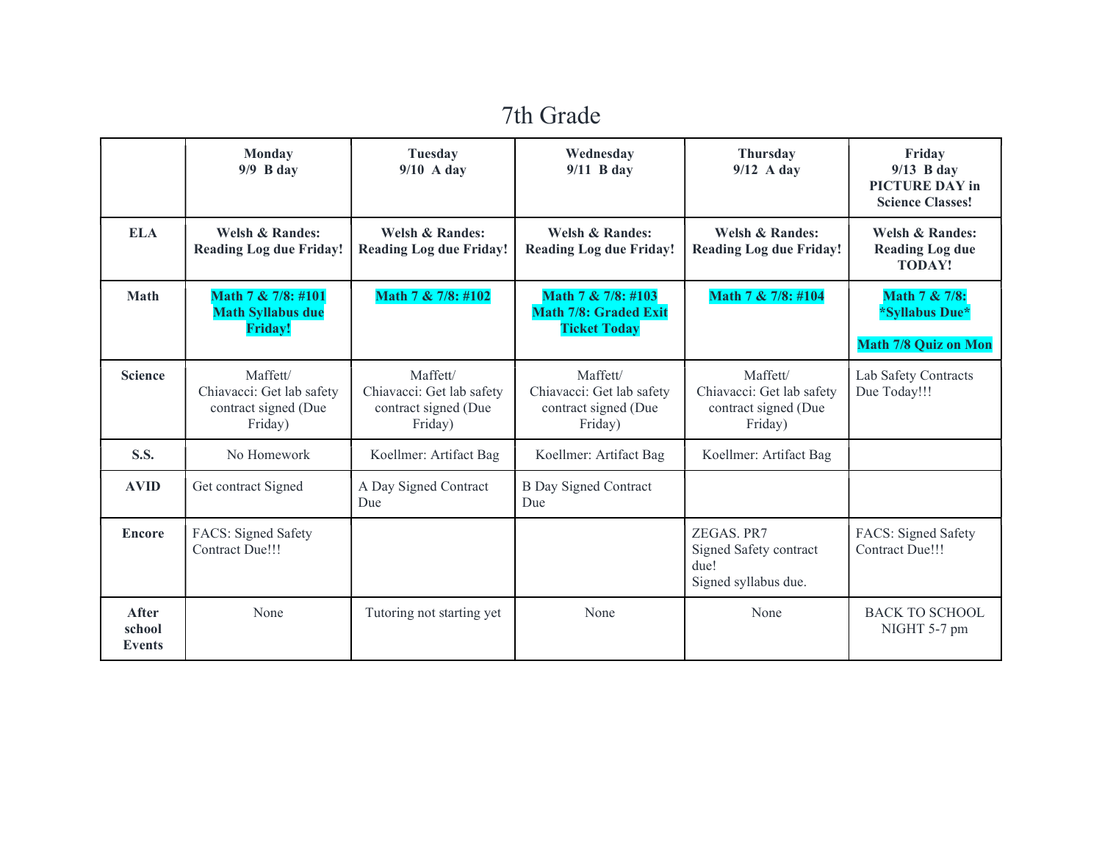## 7th Grade

|                                  | <b>Monday</b><br>$9/9$ B day                                             | Tuesday<br>$9/10$ A day                                                  | Wednesday<br>$9/11$ B day                                                 | Thursday<br>$9/12$ A day                                                 | Friday<br>$9/13$ B day<br><b>PICTURE DAY in</b><br><b>Science Classes!</b> |
|----------------------------------|--------------------------------------------------------------------------|--------------------------------------------------------------------------|---------------------------------------------------------------------------|--------------------------------------------------------------------------|----------------------------------------------------------------------------|
| <b>ELA</b>                       | <b>Welsh &amp; Randes:</b><br><b>Reading Log due Friday!</b>             | <b>Welsh &amp; Randes:</b><br><b>Reading Log due Friday!</b>             | <b>Welsh &amp; Randes:</b><br><b>Reading Log due Friday!</b>              | <b>Welsh &amp; Randes:</b><br><b>Reading Log due Friday!</b>             | <b>Welsh &amp; Randes:</b><br><b>Reading Log due</b><br><b>TODAY!</b>      |
| <b>Math</b>                      | Math 7 & 7/8: #101<br><b>Math Syllabus due</b><br><b>Friday!</b>         | Math 7 & 7/8: #102                                                       | Math 7 & 7/8: #103<br><b>Math 7/8: Graded Exit</b><br><b>Ticket Today</b> | Math 7 & 7/8: #104                                                       | Math 7 & 7/8:<br>*Syllabus Due*<br><b>Math 7/8 Quiz on Mon</b>             |
| <b>Science</b>                   | Maffett/<br>Chiavacci: Get lab safety<br>contract signed (Due<br>Friday) | Maffett/<br>Chiavacci: Get lab safety<br>contract signed (Due<br>Friday) | Maffett/<br>Chiavacci: Get lab safety<br>contract signed (Due<br>Friday)  | Maffett/<br>Chiavacci: Get lab safety<br>contract signed (Due<br>Friday) | Lab Safety Contracts<br>Due Today!!!                                       |
| <b>S.S.</b>                      | No Homework                                                              | Koellmer: Artifact Bag                                                   | Koellmer: Artifact Bag                                                    | Koellmer: Artifact Bag                                                   |                                                                            |
| <b>AVID</b>                      | Get contract Signed                                                      | A Day Signed Contract<br>Due                                             | <b>B</b> Day Signed Contract<br>Due                                       |                                                                          |                                                                            |
| <b>Encore</b>                    | FACS: Signed Safety<br>Contract Due!!!                                   |                                                                          |                                                                           | ZEGAS. PR7<br>Signed Safety contract<br>due!<br>Signed syllabus due.     | FACS: Signed Safety<br>Contract Due!!!                                     |
| After<br>school<br><b>Events</b> | None                                                                     | Tutoring not starting yet                                                | None                                                                      | None                                                                     | <b>BACK TO SCHOOL</b><br>NIGHT 5-7 pm                                      |